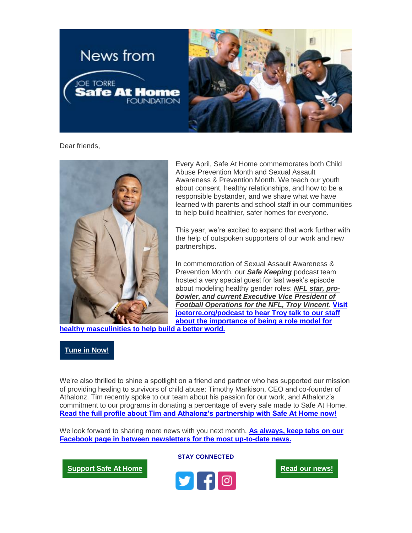

Dear friends,



Every April, Safe At Home commemorates both Child Abuse Prevention Month and Sexual Assault Awareness & Prevention Month. We teach our youth about consent, healthy relationships, and how to be a responsible bystander, and we share what we have learned with parents and school staff in our communities to help build healthier, safer homes for everyone.

This year, we're excited to expand that work further with the help of outspoken supporters of our work and new partnerships.

In commemoration of Sexual Assault Awareness & Prevention Month, our *Safe Keeping* podcast team hosted a very special guest for last week's episode about modeling healthy gender roles: *NFL star, probowler, and current Executive Vice President of Football Operations for the NFL, Troy Vincent*. **[Visit](https://urldefense.proofpoint.com/v2/url?u=https-3A__eml-2Dpusa01.app.blackbaud.net_intv2_j_76296A4C-2D50E9-2D4CB9-2D995D-2D46986773316D_r_76296A4C-2D50E9-2D4CB9-2D995D-2D46986773316D-5Fdea53291-2D1526-2D44b7-2Da338-2Dc4ef651b370c_l_8D6491EA-2D5E2A-2D48F0-2DA142-2DC6AACFCD65ED_c&d=DwMFaQ&c=euGZstcaTDllvimEN8b7jXrwqOf-v5A_CdpgnVfiiMM&r=Yi35ggX3GUYT9S6d7LqqlNWX_rYXB1N3zyXK9mlGYxI&m=4e9hRNX4eHC7aB1sWHd10Yr5219i8xJmpivSW_HC11s&s=WP4clpQo-sEBSoWIqj7e1mCZMjyT1XUrvsfsL1v6M9c&e=)  [joetorre.org/podcast to hear Troy talk to our staff](https://urldefense.proofpoint.com/v2/url?u=https-3A__eml-2Dpusa01.app.blackbaud.net_intv2_j_76296A4C-2D50E9-2D4CB9-2D995D-2D46986773316D_r_76296A4C-2D50E9-2D4CB9-2D995D-2D46986773316D-5Fdea53291-2D1526-2D44b7-2Da338-2Dc4ef651b370c_l_8D6491EA-2D5E2A-2D48F0-2DA142-2DC6AACFCD65ED_c&d=DwMFaQ&c=euGZstcaTDllvimEN8b7jXrwqOf-v5A_CdpgnVfiiMM&r=Yi35ggX3GUYT9S6d7LqqlNWX_rYXB1N3zyXK9mlGYxI&m=4e9hRNX4eHC7aB1sWHd10Yr5219i8xJmpivSW_HC11s&s=WP4clpQo-sEBSoWIqj7e1mCZMjyT1XUrvsfsL1v6M9c&e=)  [about the importance of being a role model](https://urldefense.proofpoint.com/v2/url?u=https-3A__eml-2Dpusa01.app.blackbaud.net_intv2_j_76296A4C-2D50E9-2D4CB9-2D995D-2D46986773316D_r_76296A4C-2D50E9-2D4CB9-2D995D-2D46986773316D-5Fdea53291-2D1526-2D44b7-2Da338-2Dc4ef651b370c_l_8D6491EA-2D5E2A-2D48F0-2DA142-2DC6AACFCD65ED_c&d=DwMFaQ&c=euGZstcaTDllvimEN8b7jXrwqOf-v5A_CdpgnVfiiMM&r=Yi35ggX3GUYT9S6d7LqqlNWX_rYXB1N3zyXK9mlGYxI&m=4e9hRNX4eHC7aB1sWHd10Yr5219i8xJmpivSW_HC11s&s=WP4clpQo-sEBSoWIqj7e1mCZMjyT1XUrvsfsL1v6M9c&e=) for** 

**[healthy masculinities](https://urldefense.proofpoint.com/v2/url?u=https-3A__eml-2Dpusa01.app.blackbaud.net_intv2_j_76296A4C-2D50E9-2D4CB9-2D995D-2D46986773316D_r_76296A4C-2D50E9-2D4CB9-2D995D-2D46986773316D-5Fdea53291-2D1526-2D44b7-2Da338-2Dc4ef651b370c_l_8D6491EA-2D5E2A-2D48F0-2DA142-2DC6AACFCD65ED_c&d=DwMFaQ&c=euGZstcaTDllvimEN8b7jXrwqOf-v5A_CdpgnVfiiMM&r=Yi35ggX3GUYT9S6d7LqqlNWX_rYXB1N3zyXK9mlGYxI&m=4e9hRNX4eHC7aB1sWHd10Yr5219i8xJmpivSW_HC11s&s=WP4clpQo-sEBSoWIqj7e1mCZMjyT1XUrvsfsL1v6M9c&e=) to help build a better world.**

## **[Tune in Now!](https://urldefense.proofpoint.com/v2/url?u=https-3A__eml-2Dpusa01.app.blackbaud.net_intv2_j_76296A4C-2D50E9-2D4CB9-2D995D-2D46986773316D_r_76296A4C-2D50E9-2D4CB9-2D995D-2D46986773316D-5Fdea53291-2D1526-2D44b7-2Da338-2Dc4ef651b370c_l_76C5C03C-2D0DBB-2D425C-2DB9CF-2D8A292DE4964D_c&d=DwMFaQ&c=euGZstcaTDllvimEN8b7jXrwqOf-v5A_CdpgnVfiiMM&r=Yi35ggX3GUYT9S6d7LqqlNWX_rYXB1N3zyXK9mlGYxI&m=4e9hRNX4eHC7aB1sWHd10Yr5219i8xJmpivSW_HC11s&s=z-r504xWdCEo2nP5i0cOzWv8Z10TzOTt_NKhvbvIWhg&e=)**

We're also thrilled to shine a spotlight on a friend and partner who has supported our mission of providing healing to survivors of child abuse: Timothy Markison, CEO and co-founder of Athalonz. Tim recently spoke to our team about his passion for our work, and Athalonz's commitment to our programs in donating a percentage of every sale made to Safe At Home. **[Read the full profile about Tim and Athalonz's partnership with Safe At Home now!](https://urldefense.proofpoint.com/v2/url?u=https-3A__eml-2Dpusa01.app.blackbaud.net_intv2_j_76296A4C-2D50E9-2D4CB9-2D995D-2D46986773316D_r_76296A4C-2D50E9-2D4CB9-2D995D-2D46986773316D-5Fdea53291-2D1526-2D44b7-2Da338-2Dc4ef651b370c_l_FE5874F6-2DC6C5-2D4124-2D9834-2D9A3266FEE972_c&d=DwMFaQ&c=euGZstcaTDllvimEN8b7jXrwqOf-v5A_CdpgnVfiiMM&r=Yi35ggX3GUYT9S6d7LqqlNWX_rYXB1N3zyXK9mlGYxI&m=4e9hRNX4eHC7aB1sWHd10Yr5219i8xJmpivSW_HC11s&s=iImw4-3TDnTQTcNqcrz-LOj5e_UKDU3_dGz6ELgfLGA&e=)**

We look forward to sharing more news with you next month. **[As always, keep tabs on our](https://urldefense.proofpoint.com/v2/url?u=https-3A__eml-2Dpusa01.app.blackbaud.net_intv2_j_76296A4C-2D50E9-2D4CB9-2D995D-2D46986773316D_r_76296A4C-2D50E9-2D4CB9-2D995D-2D46986773316D-5Fdea53291-2D1526-2D44b7-2Da338-2Dc4ef651b370c_l_E6B11A4E-2D4401-2D4188-2DB2B2-2D97D7537234F0_c&d=DwMFaQ&c=euGZstcaTDllvimEN8b7jXrwqOf-v5A_CdpgnVfiiMM&r=Yi35ggX3GUYT9S6d7LqqlNWX_rYXB1N3zyXK9mlGYxI&m=4e9hRNX4eHC7aB1sWHd10Yr5219i8xJmpivSW_HC11s&s=PrjvXDZUIFkQhlcvfhH5hh7GumWF2o28D5pJwUx63hI&e=)  [Facebook page in between newsletters for the most up-to-date news.](https://urldefense.proofpoint.com/v2/url?u=https-3A__eml-2Dpusa01.app.blackbaud.net_intv2_j_76296A4C-2D50E9-2D4CB9-2D995D-2D46986773316D_r_76296A4C-2D50E9-2D4CB9-2D995D-2D46986773316D-5Fdea53291-2D1526-2D44b7-2Da338-2Dc4ef651b370c_l_E6B11A4E-2D4401-2D4188-2DB2B2-2D97D7537234F0_c&d=DwMFaQ&c=euGZstcaTDllvimEN8b7jXrwqOf-v5A_CdpgnVfiiMM&r=Yi35ggX3GUYT9S6d7LqqlNWX_rYXB1N3zyXK9mlGYxI&m=4e9hRNX4eHC7aB1sWHd10Yr5219i8xJmpivSW_HC11s&s=PrjvXDZUIFkQhlcvfhH5hh7GumWF2o28D5pJwUx63hI&e=)**

**[Support Safe At Home](https://urldefense.proofpoint.com/v2/url?u=https-3A__eml-2Dpusa01.app.blackbaud.net_intv2_j_76296A4C-2D50E9-2D4CB9-2D995D-2D46986773316D_r_76296A4C-2D50E9-2D4CB9-2D995D-2D46986773316D-5Fdea53291-2D1526-2D44b7-2Da338-2Dc4ef651b370c_l_CB07B78E-2D5048-2D4F6B-2D8C5D-2DCD3F12C4788C_c&d=DwMFaQ&c=euGZstcaTDllvimEN8b7jXrwqOf-v5A_CdpgnVfiiMM&r=Yi35ggX3GUYT9S6d7LqqlNWX_rYXB1N3zyXK9mlGYxI&m=4e9hRNX4eHC7aB1sWHd10Yr5219i8xJmpivSW_HC11s&s=HOQxfd8HSUGhP_SdaJTOqwtK3tmZT-MmUD6xKakw9mc&e=)**



**STAY CONNECTED**

**[Read our news!](https://urldefense.proofpoint.com/v2/url?u=https-3A__eml-2Dpusa01.app.blackbaud.net_intv2_j_76296A4C-2D50E9-2D4CB9-2D995D-2D46986773316D_r_76296A4C-2D50E9-2D4CB9-2D995D-2D46986773316D-5Fdea53291-2D1526-2D44b7-2Da338-2Dc4ef651b370c_l_FF38B47B-2D701C-2D43CB-2D82E4-2DAD97C19045C1_c&d=DwMFaQ&c=euGZstcaTDllvimEN8b7jXrwqOf-v5A_CdpgnVfiiMM&r=Yi35ggX3GUYT9S6d7LqqlNWX_rYXB1N3zyXK9mlGYxI&m=4e9hRNX4eHC7aB1sWHd10Yr5219i8xJmpivSW_HC11s&s=_UqG2aXHyYbDbK9BbpJLAGGijAcLUGs_bFd6kiWyL6c&e=)**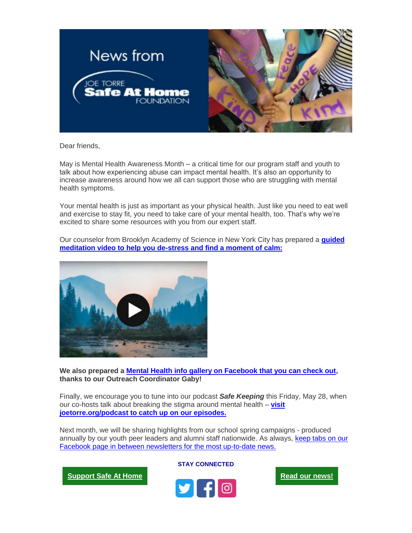

Dear friends,

May is Mental Health Awareness Month – a critical time for our program staff and youth to talk about how experiencing abuse can impact mental health. It's also an opportunity to increase awareness around how we all can support those who are struggling with mental health symptoms.

Your mental health is just as important as your physical health. Just like you need to eat well and exercise to stay fit, you need to take care of your mental health, too. That's why we're excited to share some resources with you from our expert staff.



Our counselor from Brooklyn Academy of Science in New York City has prepared a **[guided](https://urldefense.proofpoint.com/v2/url?u=https-3A__eml-2Dpusa01.app.blackbaud.net_intv2_j_22F591AF-2D8A2A-2D4638-2DBE5B-2DF2405B42EDC7_r_22F591AF-2D8A2A-2D4638-2DBE5B-2DF2405B42EDC7-5F1ab8f184-2Df062-2D4a2a-2Da738-2Dbb5650457f5d_l_0E9D076B-2DE9B5-2D4F09-2D9CB8-2DCE0E2F8DDE2D_c&d=DwMFaQ&c=euGZstcaTDllvimEN8b7jXrwqOf-v5A_CdpgnVfiiMM&r=Yi35ggX3GUYT9S6d7LqqlNWX_rYXB1N3zyXK9mlGYxI&m=-wg17OrD80DMdzhNlYeN4yZSgFA2zBu1iEtuIpAxZPs&s=qQyjA1_DuU-wnIIhH4-MOOZ0fa2sPpsonJh8UiXJrdc&e=)  [meditation video to help you de-stress and find a moment of calm:](https://urldefense.proofpoint.com/v2/url?u=https-3A__eml-2Dpusa01.app.blackbaud.net_intv2_j_22F591AF-2D8A2A-2D4638-2DBE5B-2DF2405B42EDC7_r_22F591AF-2D8A2A-2D4638-2DBE5B-2DF2405B42EDC7-5F1ab8f184-2Df062-2D4a2a-2Da738-2Dbb5650457f5d_l_0E9D076B-2DE9B5-2D4F09-2D9CB8-2DCE0E2F8DDE2D_c&d=DwMFaQ&c=euGZstcaTDllvimEN8b7jXrwqOf-v5A_CdpgnVfiiMM&r=Yi35ggX3GUYT9S6d7LqqlNWX_rYXB1N3zyXK9mlGYxI&m=-wg17OrD80DMdzhNlYeN4yZSgFA2zBu1iEtuIpAxZPs&s=qQyjA1_DuU-wnIIhH4-MOOZ0fa2sPpsonJh8UiXJrdc&e=)**

**We also prepared a [Mental Health info gallery on Facebook that you can check out,](https://urldefense.proofpoint.com/v2/url?u=https-3A__eml-2Dpusa01.app.blackbaud.net_intv2_j_22F591AF-2D8A2A-2D4638-2DBE5B-2DF2405B42EDC7_r_22F591AF-2D8A2A-2D4638-2DBE5B-2DF2405B42EDC7-5F1ab8f184-2Df062-2D4a2a-2Da738-2Dbb5650457f5d_l_0E64D9E2-2D3BCC-2D4C39-2DA259-2D2376EF0AD389_c&d=DwMFaQ&c=euGZstcaTDllvimEN8b7jXrwqOf-v5A_CdpgnVfiiMM&r=Yi35ggX3GUYT9S6d7LqqlNWX_rYXB1N3zyXK9mlGYxI&m=-wg17OrD80DMdzhNlYeN4yZSgFA2zBu1iEtuIpAxZPs&s=Jx549JzmIUHV4IIGUnZxjH7oe9Ar6bftTMTn1dbi_a0&e=) thanks to our Outreach Coordinator Gaby!**

Finally, we encourage you to tune into our podcast *Safe Keeping* this Friday, May 28, when our co-hosts talk about breaking the stigma around mental health – **[visit](https://urldefense.proofpoint.com/v2/url?u=https-3A__eml-2Dpusa01.app.blackbaud.net_intv2_j_22F591AF-2D8A2A-2D4638-2DBE5B-2DF2405B42EDC7_r_22F591AF-2D8A2A-2D4638-2DBE5B-2DF2405B42EDC7-5F1ab8f184-2Df062-2D4a2a-2Da738-2Dbb5650457f5d_l_CEA979F9-2DF913-2D43CB-2D85B7-2D7EEEC7591127_c&d=DwMFaQ&c=euGZstcaTDllvimEN8b7jXrwqOf-v5A_CdpgnVfiiMM&r=Yi35ggX3GUYT9S6d7LqqlNWX_rYXB1N3zyXK9mlGYxI&m=-wg17OrD80DMdzhNlYeN4yZSgFA2zBu1iEtuIpAxZPs&s=md66Czv3xH8lFyvFBGM91GfsSOwYpQzwIPnmSFwDNFM&e=)  [joetorre.org/podcast to catch up on our episodes.](https://urldefense.proofpoint.com/v2/url?u=https-3A__eml-2Dpusa01.app.blackbaud.net_intv2_j_22F591AF-2D8A2A-2D4638-2DBE5B-2DF2405B42EDC7_r_22F591AF-2D8A2A-2D4638-2DBE5B-2DF2405B42EDC7-5F1ab8f184-2Df062-2D4a2a-2Da738-2Dbb5650457f5d_l_CEA979F9-2DF913-2D43CB-2D85B7-2D7EEEC7591127_c&d=DwMFaQ&c=euGZstcaTDllvimEN8b7jXrwqOf-v5A_CdpgnVfiiMM&r=Yi35ggX3GUYT9S6d7LqqlNWX_rYXB1N3zyXK9mlGYxI&m=-wg17OrD80DMdzhNlYeN4yZSgFA2zBu1iEtuIpAxZPs&s=md66Czv3xH8lFyvFBGM91GfsSOwYpQzwIPnmSFwDNFM&e=)**

Next month, we will be sharing highlights from our school spring campaigns - produced annually by our youth peer leaders and alumni staff nationwide. As always, [keep tabs on our](https://urldefense.proofpoint.com/v2/url?u=https-3A__eml-2Dpusa01.app.blackbaud.net_intv2_j_22F591AF-2D8A2A-2D4638-2DBE5B-2DF2405B42EDC7_r_22F591AF-2D8A2A-2D4638-2DBE5B-2DF2405B42EDC7-5F1ab8f184-2Df062-2D4a2a-2Da738-2Dbb5650457f5d_l_928F2FE8-2DF814-2D4AFC-2D9906-2D749403EF64A6_c&d=DwMFaQ&c=euGZstcaTDllvimEN8b7jXrwqOf-v5A_CdpgnVfiiMM&r=Yi35ggX3GUYT9S6d7LqqlNWX_rYXB1N3zyXK9mlGYxI&m=-wg17OrD80DMdzhNlYeN4yZSgFA2zBu1iEtuIpAxZPs&s=R9u2GOqDEMaj4pFHCu1As4Gw87PQrQPX6zxZJCtutDQ&e=)  [Facebook page in between newsletters for the most up-to-date news.](https://urldefense.proofpoint.com/v2/url?u=https-3A__eml-2Dpusa01.app.blackbaud.net_intv2_j_22F591AF-2D8A2A-2D4638-2DBE5B-2DF2405B42EDC7_r_22F591AF-2D8A2A-2D4638-2DBE5B-2DF2405B42EDC7-5F1ab8f184-2Df062-2D4a2a-2Da738-2Dbb5650457f5d_l_928F2FE8-2DF814-2D4AFC-2D9906-2D749403EF64A6_c&d=DwMFaQ&c=euGZstcaTDllvimEN8b7jXrwqOf-v5A_CdpgnVfiiMM&r=Yi35ggX3GUYT9S6d7LqqlNWX_rYXB1N3zyXK9mlGYxI&m=-wg17OrD80DMdzhNlYeN4yZSgFA2zBu1iEtuIpAxZPs&s=R9u2GOqDEMaj4pFHCu1As4Gw87PQrQPX6zxZJCtutDQ&e=)



**STAY CONNECTED**



**[Read our news!](https://urldefense.proofpoint.com/v2/url?u=https-3A__eml-2Dpusa01.app.blackbaud.net_intv2_j_22F591AF-2D8A2A-2D4638-2DBE5B-2DF2405B42EDC7_r_22F591AF-2D8A2A-2D4638-2DBE5B-2DF2405B42EDC7-5F1ab8f184-2Df062-2D4a2a-2Da738-2Dbb5650457f5d_l_86B6B436-2D19E0-2D4DC2-2D9C1B-2D4442A44F3E45_c&d=DwMFaQ&c=euGZstcaTDllvimEN8b7jXrwqOf-v5A_CdpgnVfiiMM&r=Yi35ggX3GUYT9S6d7LqqlNWX_rYXB1N3zyXK9mlGYxI&m=-wg17OrD80DMdzhNlYeN4yZSgFA2zBu1iEtuIpAxZPs&s=0TNiDYKd6Zs_UulaObJBCaiJShbEHgUVN62GL-fc6kk&e=)**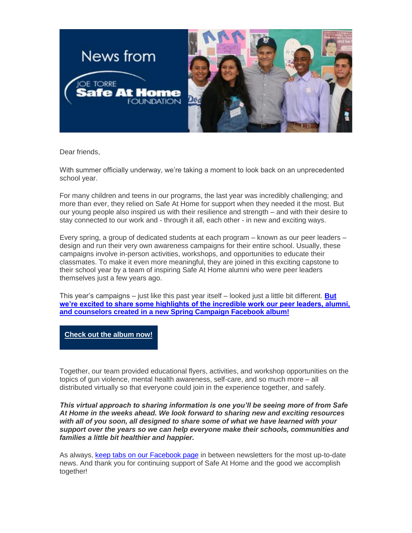

Dear friends,

With summer officially underway, we're taking a moment to look back on an unprecedented school year.

For many children and teens in our programs, the last year was incredibly challenging; and more than ever, they relied on Safe At Home for support when they needed it the most. But our young people also inspired us with their resilience and strength – and with their desire to stay connected to our work and - through it all, each other - in new and exciting ways.

Every spring, a group of dedicated students at each program – known as our peer leaders – design and run their very own awareness campaigns for their entire school. Usually, these campaigns involve in-person activities, workshops, and opportunities to educate their classmates. To make it even more meaningful, they are joined in this exciting capstone to their school year by a team of inspiring Safe At Home alumni who were peer leaders themselves just a few years ago.

This year's campaigns – just like this past year itself – looked just a little bit different. **[But](https://urldefense.proofpoint.com/v2/url?u=https-3A__eml-2Dpusa01.app.blackbaud.net_intv2_j_F3E853C3-2DADDF-2D4F6D-2DAB38-2DDA5A948FD01A_r_F3E853C3-2DADDF-2D4F6D-2DAB38-2DDA5A948FD01A-5F0847ea29-2De743-2D43e0-2D984d-2Ddda1d2127f89_l_BE4D802A-2DEE1B-2D4A89-2D828F-2D36E4C7B45914_c&d=DwMFaQ&c=euGZstcaTDllvimEN8b7jXrwqOf-v5A_CdpgnVfiiMM&r=Yi35ggX3GUYT9S6d7LqqlNWX_rYXB1N3zyXK9mlGYxI&m=OaQvkRHNeRctpGzRA5TYqL-Jr-dHG6UYd7nlrW8Eb9E&s=vCM6Nb6M8x1iEGlKUxzxajrfnk1aNEaYxOoYmLcSLHM&e=)  [we're excited to share some highlights of the incredible work our peer leaders, alumni,](https://urldefense.proofpoint.com/v2/url?u=https-3A__eml-2Dpusa01.app.blackbaud.net_intv2_j_F3E853C3-2DADDF-2D4F6D-2DAB38-2DDA5A948FD01A_r_F3E853C3-2DADDF-2D4F6D-2DAB38-2DDA5A948FD01A-5F0847ea29-2De743-2D43e0-2D984d-2Ddda1d2127f89_l_BE4D802A-2DEE1B-2D4A89-2D828F-2D36E4C7B45914_c&d=DwMFaQ&c=euGZstcaTDllvimEN8b7jXrwqOf-v5A_CdpgnVfiiMM&r=Yi35ggX3GUYT9S6d7LqqlNWX_rYXB1N3zyXK9mlGYxI&m=OaQvkRHNeRctpGzRA5TYqL-Jr-dHG6UYd7nlrW8Eb9E&s=vCM6Nb6M8x1iEGlKUxzxajrfnk1aNEaYxOoYmLcSLHM&e=)  [and counselors created in a new Spring Campaign Facebook album!](https://urldefense.proofpoint.com/v2/url?u=https-3A__eml-2Dpusa01.app.blackbaud.net_intv2_j_F3E853C3-2DADDF-2D4F6D-2DAB38-2DDA5A948FD01A_r_F3E853C3-2DADDF-2D4F6D-2DAB38-2DDA5A948FD01A-5F0847ea29-2De743-2D43e0-2D984d-2Ddda1d2127f89_l_BE4D802A-2DEE1B-2D4A89-2D828F-2D36E4C7B45914_c&d=DwMFaQ&c=euGZstcaTDllvimEN8b7jXrwqOf-v5A_CdpgnVfiiMM&r=Yi35ggX3GUYT9S6d7LqqlNWX_rYXB1N3zyXK9mlGYxI&m=OaQvkRHNeRctpGzRA5TYqL-Jr-dHG6UYd7nlrW8Eb9E&s=vCM6Nb6M8x1iEGlKUxzxajrfnk1aNEaYxOoYmLcSLHM&e=)**

**[Check out the album now!](https://urldefense.proofpoint.com/v2/url?u=https-3A__eml-2Dpusa01.app.blackbaud.net_intv2_j_F3E853C3-2DADDF-2D4F6D-2DAB38-2DDA5A948FD01A_r_F3E853C3-2DADDF-2D4F6D-2DAB38-2DDA5A948FD01A-5F0847ea29-2De743-2D43e0-2D984d-2Ddda1d2127f89_l_7A8EF560-2D452D-2D47BB-2DBA87-2DED441BA88D7E_c&d=DwMFaQ&c=euGZstcaTDllvimEN8b7jXrwqOf-v5A_CdpgnVfiiMM&r=Yi35ggX3GUYT9S6d7LqqlNWX_rYXB1N3zyXK9mlGYxI&m=OaQvkRHNeRctpGzRA5TYqL-Jr-dHG6UYd7nlrW8Eb9E&s=XxUD-ZCmJ0essCIzgEa4eKiLDdY2E9TLrOHoZhRugkQ&e=)**

Together, our team provided educational flyers, activities, and workshop opportunities on the topics of gun violence, mental health awareness, self-care, and so much more – all distributed virtually so that everyone could join in the experience together, and safely.

*This virtual approach to sharing information is one you'll be seeing more of from Safe At Home in the weeks ahead. We look forward to sharing new and exciting resources with all of you soon, all designed to share some of what we have learned with your support over the years so we can help everyone make their schools, communities and families a little bit healthier and happier.*

As always, [keep tabs on our Facebook page](https://urldefense.proofpoint.com/v2/url?u=https-3A__eml-2Dpusa01.app.blackbaud.net_intv2_j_F3E853C3-2DADDF-2D4F6D-2DAB38-2DDA5A948FD01A_r_F3E853C3-2DADDF-2D4F6D-2DAB38-2DDA5A948FD01A-5F0847ea29-2De743-2D43e0-2D984d-2Ddda1d2127f89_l_335F4E1F-2D95F7-2D49C2-2D9A3C-2D7C84ADD1981E_c&d=DwMFaQ&c=euGZstcaTDllvimEN8b7jXrwqOf-v5A_CdpgnVfiiMM&r=Yi35ggX3GUYT9S6d7LqqlNWX_rYXB1N3zyXK9mlGYxI&m=OaQvkRHNeRctpGzRA5TYqL-Jr-dHG6UYd7nlrW8Eb9E&s=sRViNnQQEZyS8eThzXrrr_NR3Hs1znLa2IqgrpU4MfM&e=) in between newsletters for the most up-to-date news. And thank you for continuing support of Safe At Home and the good we accomplish together!